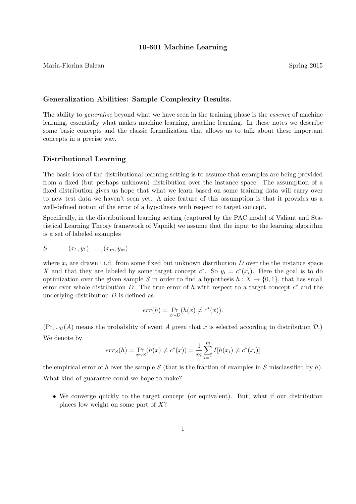### 10-601 Machine Learning

# Maria-Florina Balcan Spring 2015

### Generalization Abilities: Sample Complexity Results.

The ability to *generalize* beyond what we have seen in the training phase is the *essence* of machine learning, essentially what makes machine learning, machine learning. In these notes we describe some basic concepts and the classic formalization that allows us to talk about these important concepts in a precise way.

### Distributional Learning

The basic idea of the distributional learning setting is to assume that examples are being provided from a fixed (but perhaps unknown) distribution over the instance space. The assumption of a fixed distribution gives us hope that what we learn based on some training data will carry over to new test data we haven't seen yet. A nice feature of this assumption is that it provides us a well-defined notion of the error of a hypothesis with respect to target concept.

Specifically, in the distributional learning setting (captured by the PAC model of Valiant and Statistical Learning Theory framework of Vapnik) we assume that the input to the learning algorithm is a set of labeled examples

$$
S: \qquad (x_1,y_1),\ldots,(x_m,y_m)
$$

where  $x_i$  are drawn i.i.d. from some fixed but unknown distribution D over the the instance space X and that they are labeled by some target concept  $c^*$ . So  $y_i = c^*(x_i)$ . Here the goal is to do optimization over the given sample S in order to find a hypothesis  $h : X \to \{0, 1\}$ , that has small error over whole distribution D. The true error of h with respect to a target concept  $c^*$  and the underlying distribution  $D$  is defined as

$$
err(h) = \Pr_{x \sim D}(h(x) \neq c^*(x)).
$$

 $(\Pr_{x\sim\mathcal{D}}(A))$  means the probability of event A given that x is selected according to distribution  $\mathcal{D}$ .) We denote by

$$
err_S(h) = \Pr_{x \sim S}(h(x) \neq c^*(x)) = \frac{1}{m} \sum_{i=1}^m I[h(x_i) \neq c^*(x_i)]
$$

the empirical error of h over the sample S (that is the fraction of examples in S misclassified by h). What kind of guarantee could we hope to make?

• We converge quickly to the target concept (or equivalent). But, what if our distribution places low weight on some part of  $X$ ?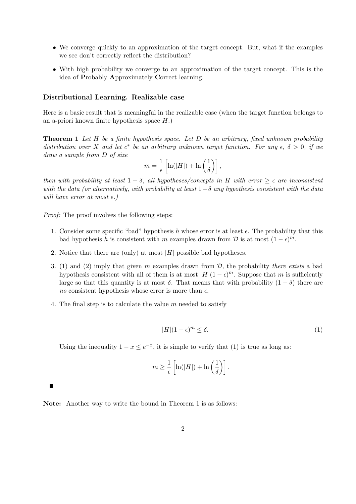- We converge quickly to an approximation of the target concept. But, what if the examples we see don't correctly reflect the distribution?
- With high probability we converge to an approximation of the target concept. This is the idea of Probably Approximately Correct learning.

### Distributional Learning. Realizable case

Here is a basic result that is meaningful in the realizable case (when the target function belongs to an a-priori known finite hypothesis space  $H$ .)

**Theorem 1** Let H be a finite hypothesis space. Let D be an arbitrary, fixed unknown probability distribution over X and let  $c^*$  be an arbitrary unknown target function. For any  $\epsilon$ ,  $\delta > 0$ , if we draw a sample from D of size

$$
m = \frac{1}{\epsilon} \left[ \ln(|H|) + \ln\left(\frac{1}{\delta}\right) \right],
$$

then with probability at least  $1 - \delta$ , all hypotheses/concepts in H with error  $\geq \epsilon$  are inconsistent with the data (or alternatively, with probability at least  $1-\delta$  any hypothesis consistent with the data will have error at most  $\epsilon$ .)

Proof: The proof involves the following steps:

- 1. Consider some specific "bad" hypothesis h whose error is at least  $\epsilon$ . The probability that this bad hypothesis h is consistent with m examples drawn from  $\mathcal{D}$  is at most  $(1 - \epsilon)^m$ .
- 2. Notice that there are (only) at most  $|H|$  possible bad hypotheses.
- 3. (1) and (2) imply that given m examples drawn from  $D$ , the probability there exists a bad hypothesis consistent with all of them is at most  $|H|(1-\epsilon)^m$ . Suppose that m is sufficiently large so that this quantity is at most  $\delta$ . That means that with probability  $(1 - \delta)$  there are no consistent hypothesis whose error is more than  $\epsilon$ .
- 4. The final step is to calculate the value  $m$  needed to satisfy

$$
|H|(1 - \epsilon)^m \le \delta. \tag{1}
$$

Using the inequality  $1 - x \le e^{-x}$ , it is simple to verify that (1) is true as long as:

$$
m \geq \frac{1}{\epsilon} \left[ \ln(|H|) + \ln\left(\frac{1}{\delta}\right) \right].
$$

Note: Another way to write the bound in Theorem 1 is as follows: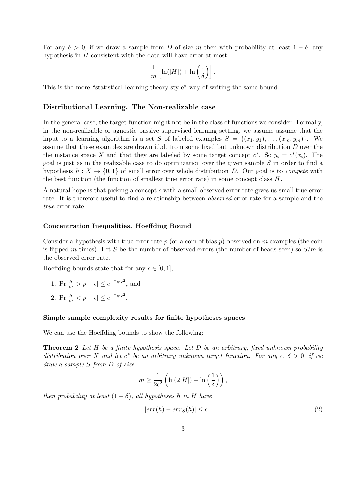For any  $\delta > 0$ , if we draw a sample from D of size m then with probability at least  $1 - \delta$ , any hypothesis in  $H$  consistent with the data will have error at most

$$
\frac{1}{m}\left[\ln(|H|)+\ln\left(\frac{1}{\delta}\right)\right].
$$

This is the more "statistical learning theory style" way of writing the same bound.

### Distributional Learning. The Non-realizable case

In the general case, the target function might not be in the class of functions we consider. Formally, in the non-realizable or agnostic passive supervised learning setting, we assume assume that the input to a learning algorithm is a set S of labeled examples  $S = \{(x_1, y_1), \ldots, (x_m, y_m)\}\.$  We assume that these examples are drawn i.i.d. from some fixed but unknown distribution D over the the instance space X and that they are labeled by some target concept  $c^*$ . So  $y_i = c^*(x_i)$ . The goal is just as in the realizable case to do optimization over the given sample S in order to find a hypothesis  $h: X \to \{0,1\}$  of small error over whole distribution D. Our goal is to *compete* with the best function (the function of smallest true error rate) in some concept class  $H$ .

A natural hope is that picking a concept c with a small observed error rate gives us small true error rate. It is therefore useful to find a relationship between *observed* error rate for a sample and the true error rate.

#### Concentration Inequalities. Hoeffding Bound

Consider a hypothesis with true error rate  $p$  (or a coin of bias  $p$ ) observed on m examples (the coin is flipped m times). Let S be the number of observed errors (the number of heads seen) so  $S/m$  is the observed error rate.

Hoeffding bounds state that for any  $\epsilon \in [0, 1]$ ,

1. 
$$
\Pr[\frac{S}{m} > p + \epsilon] \le e^{-2m\epsilon^2}
$$
, and

2.  $\Pr[\frac{S}{m} < p - \epsilon] \leq e^{-2m\epsilon^2}$ .

### Simple sample complexity results for finite hypotheses spaces

We can use the Hoeffding bounds to show the following:

**Theorem 2** Let H be a finite hypothesis space. Let D be an arbitrary, fixed unknown probability distribution over X and let  $c^*$  be an arbitrary unknown target function. For any  $\epsilon$ ,  $\delta > 0$ , if we draw a sample S from D of size

$$
m \ge \frac{1}{2\epsilon^2} \left( \ln(2|H|) + \ln\left(\frac{1}{\delta}\right) \right),\,
$$

then probability at least  $(1 - \delta)$ , all hypotheses h in H have

$$
|err(h) - err_S(h)| \le \epsilon. \tag{2}
$$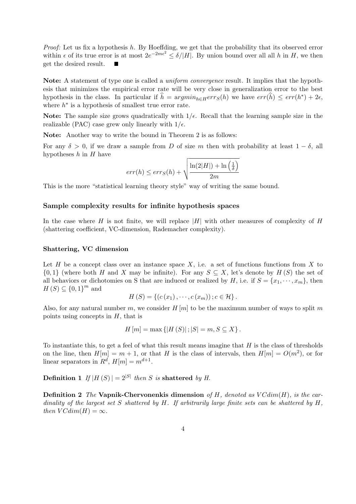*Proof:* Let us fix a hypothesis  $h$ . By Hoeffding, we get that the probability that its observed error within  $\epsilon$  of its true error is at most  $2e^{-2m\epsilon^2} \leq \delta/|H|$ . By union bound over all all h in H, we then get the desired result.

Note: A statement of type one is called a uniform convergence result. It implies that the hypothesis that minimizes the empirical error rate will be very close in generalization error to the best hypothesis in the class. In particular if  $\hat{h} = argmin_{h \in H} err_S(h)$  we have  $err(\hat{h}) \leq err(h^*) + 2\epsilon$ , where  $h^*$  is a hypothesis of smallest true error rate.

Note: The sample size grows quadratically with  $1/\epsilon$ . Recall that the learning sample size in the realizable (PAC) case grew only linearly with  $1/\epsilon$ .

Note: Another way to write the bound in Theorem 2 is as follows:

For any  $\delta > 0$ , if we draw a sample from D of size m then with probability at least  $1 - \delta$ , all hypotheses  $h$  in  $H$  have

$$
err(h) \leq err_S(h) + \sqrt{\frac{\ln(2|H|) + \ln(\frac{1}{\delta})}{2m}}
$$

This is the more "statistical learning theory style" way of writing the same bound.

### Sample complexity results for infinite hypothesis spaces

In the case where H is not finite, we will replace  $|H|$  with other measures of complexity of H (shattering coefficient, VC-dimension, Rademacher complexity).

### Shattering, VC dimension

Let  $H$  be a concept class over an instance space  $X$ , i.e. a set of functions functions from  $X$  to  $\{0,1\}$  (where both H and X may be infinite). For any  $S \subseteq X$ , let's denote by  $H(S)$  the set of all behaviors or dichotomies on S that are induced or realized by H, i.e. if  $S = \{x_1, \dots, x_m\}$ , then  $H(S) \subseteq \{0,1\}^m$  and

$$
H(S) = \{ (c(x_1), \cdots, c(x_m)) \, ; c \in \mathcal{H} \} \, .
$$

Also, for any natural number m, we consider  $H[m]$  to be the maximum number of ways to split m points using concepts in  $H$ , that is

$$
H[m] = \max\{|H(S)|; |S| = m, S \subseteq X\}.
$$

To instantiate this, to get a feel of what this result means imagine that  $H$  is the class of thresholds on the line, then  $H[m] = m + 1$ , or that H is the class of intervals, then  $H[m] = O(m^2)$ , or for linear separators in  $R^d$ ,  $H[m] = m^{d+1}$ .

**Definition 1** If  $|H(S)| = 2^{|S|}$  then S is shattered by H.

**Definition 2** The Vapnik-Chervonenkis dimension of H, denoted as  $VCdim(H)$ , is the cardinality of the largest set S shattered by H. If arbitrarily large finite sets can be shattered by  $H$ . then  $VCdim(H) = \infty$ .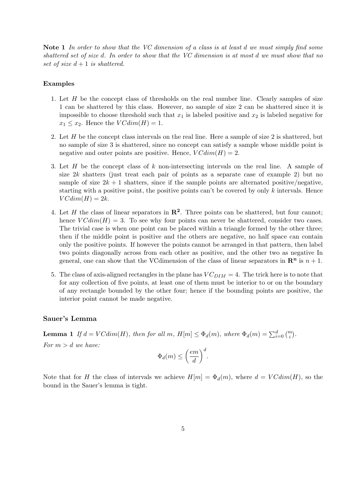Note 1 In order to show that the VC dimension of a class is at least d we must simply find some shattered set of size d. In order to show that the VC dimension is at most d we must show that no set of size  $d+1$  is shattered.

### Examples

- 1. Let H be the concept class of thresholds on the real number line. Clearly samples of size 1 can be shattered by this class. However, no sample of size 2 can be shattered since it is impossible to choose threshold such that  $x_1$  is labeled positive and  $x_2$  is labeled negative for  $x_1 \leq x_2$ . Hence the  $VCdim(H) = 1$ .
- 2. Let H be the concept class intervals on the real line. Here a sample of size 2 is shattered, but no sample of size 3 is shattered, since no concept can satisfy a sample whose middle point is negative and outer points are positive. Hence,  $VCdim(H) = 2$ .
- 3. Let  $H$  be the concept class of  $k$  non-intersecting intervals on the real line. A sample of size  $2k$  shatters (just treat each pair of points as a separate case of example 2) but no sample of size  $2k + 1$  shatters, since if the sample points are alternated positive/negative, starting with a positive point, the positive points can't be covered by only  $k$  intervals. Hence  $VCdim(H) = 2k$ .
- 4. Let H the class of linear separators in  $\mathbb{R}^2$ . Three points can be shattered, but four cannot; hence  $VCdim(H) = 3$ . To see why four points can never be shattered, consider two cases. The trivial case is when one point can be placed within a triangle formed by the other three; then if the middle point is positive and the others are negative, no half space can contain only the positive points. If however the points cannot be arranged in that pattern, then label two points diagonally across from each other as positive, and the other two as negative In general, one can show that the VCdimension of the class of linear separators in  $\mathbb{R}^n$  is  $n+1$ .
- 5. The class of axis-aligned rectangles in the plane has  $VC_{DIM} = 4$ . The trick here is to note that for any collection of five points, at least one of them must be interior to or on the boundary of any rectangle bounded by the other four; hence if the bounding points are positive, the interior point cannot be made negative.

## Sauer's Lemma

**Lemma 1** If  $d = VCdim(H)$ , then for all  $m$ ,  $H[m] \leq \Phi_d(m)$ , where  $\Phi_d(m) = \sum_{i=0}^d {m \choose i}$ .

For  $m > d$  we have:

$$
\Phi_d(m) \le \left(\frac{em}{d}\right)^d.
$$

Note that for H the class of intervals we achieve  $H[m] = \Phi_d(m)$ , where  $d = VCdim(H)$ , so the bound in the Sauer's lemma is tight.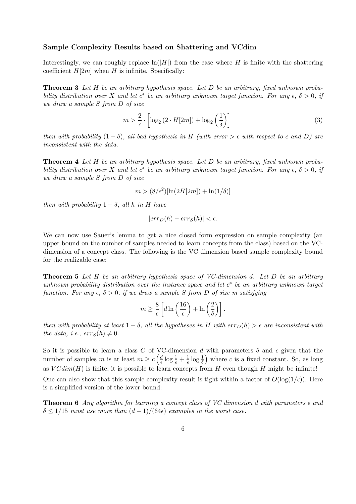### Sample Complexity Results based on Shattering and VCdim

Interestingly, we can roughly replace  $\ln(|H|)$  from the case where H is finite with the shattering coefficient  $H[2m]$  when H is infinite. Specifically:

**Theorem 3** Let H be an arbitrary hypothesis space. Let D be an arbitrary, fixed unknown probability distribution over X and let  $c^*$  be an arbitrary unknown target function. For any  $\epsilon$ ,  $\delta > 0$ , if we draw a sample S from D of size

$$
m > \frac{2}{\epsilon} \cdot \left[ \log_2 \left( 2 \cdot H[2m] \right) + \log_2 \left( \frac{1}{\delta} \right) \right] \tag{3}
$$

then with probability  $(1 - \delta)$ , all bad hypothesis in H (with error >  $\epsilon$  with respect to c and D) are inconsistent with the data.

**Theorem 4** Let H be an arbitrary hypothesis space. Let D be an arbitrary, fixed unknown probability distribution over X and let  $c^*$  be an arbitrary unknown target function. For any  $\epsilon$ ,  $\delta > 0$ , if we draw a sample S from D of size

$$
m > (8/\epsilon^2)[\ln(2H[2m]) + \ln(1/\delta)]
$$

then with probability  $1 - \delta$ , all h in H have

$$
|err_D(h) - err_S(h)| < \epsilon.
$$

We can now use Sauer's lemma to get a nice closed form expression on sample complexity (an upper bound on the number of samples needed to learn concepts from the class) based on the VCdimension of a concept class. The following is the VC dimension based sample complexity bound for the realizable case:

**Theorem 5** Let H be an arbitrary hypothesis space of VC-dimension d. Let D be an arbitrary unknown probability distribution over the instance space and let  $c^*$  be an arbitrary unknown target function. For any  $\epsilon, \delta > 0$ , if we draw a sample S from D of size m satisfying

$$
m \ge \frac{8}{\epsilon} \left[ d \ln \left( \frac{16}{\epsilon} \right) + \ln \left( \frac{2}{\delta} \right) \right].
$$

then with probability at least  $1 - \delta$ , all the hypotheses in H with  $err_D(h) > \epsilon$  are inconsistent with the data, i.e.,  $err_S(h) \neq 0$ .

So it is possible to learn a class C of VC-dimension d with parameters  $\delta$  and  $\epsilon$  given that the number of samples m is at least  $m \geq c \left( \frac{d}{e} \right)$  $\frac{d}{\epsilon}\log \frac{1}{\epsilon} + \frac{1}{\epsilon}$  $\frac{1}{\epsilon} \log \frac{1}{\delta}$  where c is a fixed constant. So, as long as  $VCdim(H)$  is finite, it is possible to learn concepts from H even though H might be infinite!

One can also show that this sample complexity result is tight within a factor of  $O(\log(1/\epsilon))$ . Here is a simplified version of the lower bound:

**Theorem 6** Any algorithm for learning a concept class of VC dimension d with parameters  $\epsilon$  and  $\delta \leq 1/15$  must use more than  $(d-1)/(64\epsilon)$  examples in the worst case.